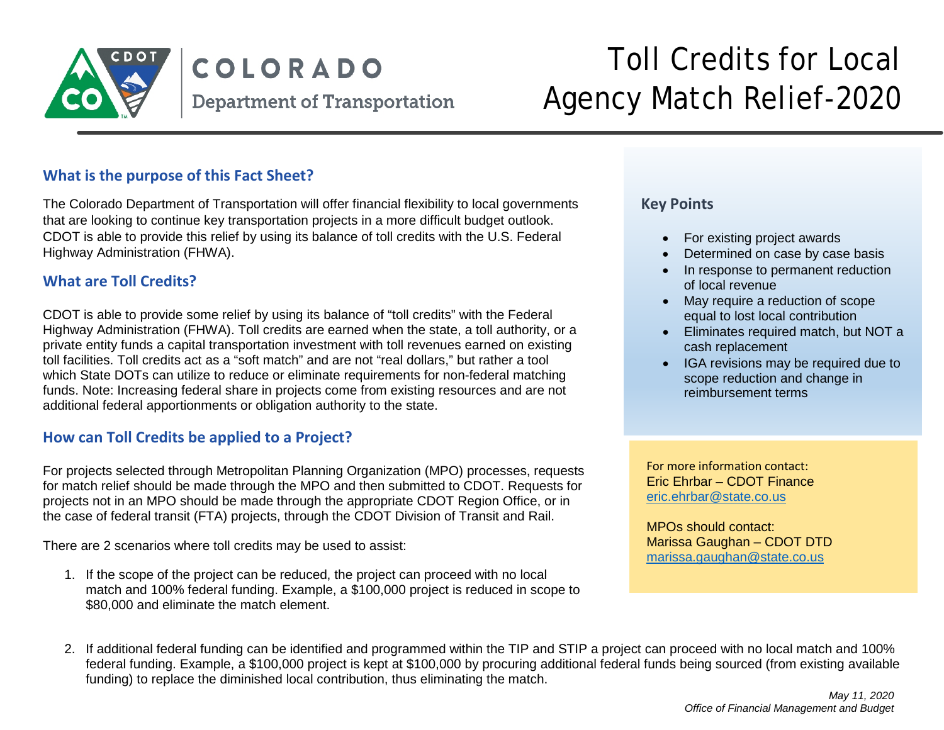

# COLORADO **Department of Transportation**

# Toll Credits for Local Agency Match Relief-2020

#### **What is the purpose of this Fact Sheet?**

The Colorado Department of Transportation will offer financial flexibility to local governments that are looking to continue key transportation projects in a more difficult budget outlook. CDOT is able to provide this relief by using its balance of toll credits with the U.S. Federal Highway Administration (FHWA).

#### **What are Toll Credits?**

CDOT is able to provide some relief by using its balance of "toll credits" with the Federal Highway Administration (FHWA). Toll credits are earned when the state, a toll authority, or a private entity funds a capital transportation investment with toll revenues earned on existing toll facilities. Toll credits act as a "soft match" and are not "real dollars," but rather a tool which State DOTs can utilize to reduce or eliminate requirements for non-federal matching funds. Note: Increasing federal share in projects come from existing resources and are not additional federal apportionments or obligation authority to the state.

## **How can Toll Credits be applied to a Project?**

For projects selected through Metropolitan Planning Organization (MPO) processes, requests for match relief should be made through the MPO and then submitted to CDOT. Requests for projects not in an MPO should be made through the appropriate CDOT Region Office, or in the case of federal transit (FTA) projects, through the CDOT Division of Transit and Rail.

There are 2 scenarios where toll credits may be used to assist:

1. If the scope of the project can be reduced, the project can proceed with no local match and 100% federal funding. Example, a \$100,000 project is reduced in scope to \$80,000 and eliminate the match element.

#### **Key Points**

- For existing project awards
- Determined on case by case basis
- In response to permanent reduction of local revenue
- May require a reduction of scope equal to lost local contribution
- Eliminates required match, but NOT a cash replacement
- IGA revisions may be required due to scope reduction and change in reimbursement terms

For more information contact: Eric Ehrbar – CDOT Finance [eric.ehrbar@state.co.us](mailto:eric.ehrbar@state.co.us)

MPOs should contact: Marissa Gaughan – CDOT DTD [marissa.gaughan@state.co.us](mailto:marissa.gaughan@state.co.us)

2. If additional federal funding can be identified and programmed within the TIP and STIP a project can proceed with no local match and 100% federal funding. Example, a \$100,000 project is kept at \$100,000 by procuring additional federal funds being sourced (from existing available funding) to replace the diminished local contribution, thus eliminating the match.